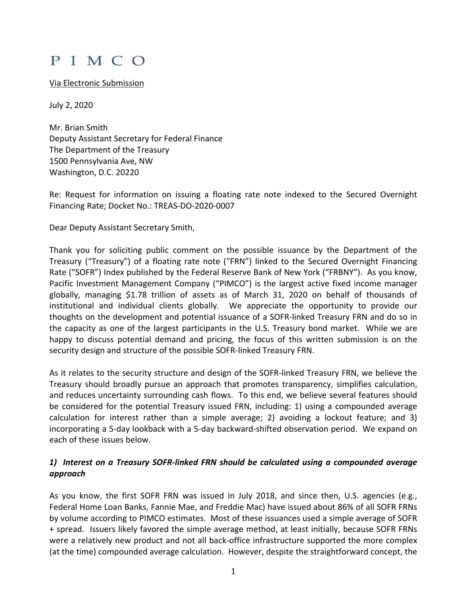# PIMCO

#### Via Electronic Submission

July 2, 2020

Mr. Brian Smith Deputy Assistant Secretary for Federal Finance The Department of the Treasury 1500 Pennsylvania Ave, NW Washington, D.C. 20220

Re: Request for information on issuing a floating rate note indexed to the Secured Overnight Financing Rate; Docket No.: TREAS-DO-2020-0007

Dear Deputy Assistant Secretary Smith,

Thank you for soliciting public comment on the possible issuance by the Department of the Treasury ("Treasury") of a floating rate note ("FRN") linked to the Secured Overnight Financing Rate ("SOFR") Index published by the Federal Reserve Bank of New York ("FRBNY"). As you know, Pacific Investment Management Company ("PIMCO") is the largest active fixed income manager globally, managing \$1.78 trillion of assets as of March 31, 2020 on behalf of thousands of institutional and individual clients globally. We appreciate the opportunity to provide our thoughts on the development and potential issuance of a SOFR-linked Treasury FRN and do so in the capacity as one of the largest participants in the U.S. Treasury bond market. While we are happy to discuss potential demand and pricing, the focus of this written submission is on the security design and structure of the possible SOFR-linked Treasury FRN.

As it relates to the security structure and design of the SOFR-linked Treasury FRN, we believe the Treasury should broadly pursue an approach that promotes transparency, simplifies calculation, and reduces uncertainty surrounding cash flows. To this end, we believe several features should be considered for the potential Treasury issued FRN, including: 1) using a compounded average calculation for interest rather than a simple average; 2) avoiding a lockout feature; and 3) incorporating a 5-day lookback with a 5-day backward-shifted observation period. We expand on each of these issues below.

## *1) Interest on a Treasury SOFR-linked FRN should be calculated using a compounded average approach*

As you know, the first SOFR FRN was issued in July 2018, and since then, U.S. agencies (e.g., Federal Home Loan Banks, Fannie Mae, and Freddie Mac) have issued about 86% of all SOFR FRNs by volume according to PIMCO estimates. Most of these issuances used a simple average of SOFR + spread. Issuers likely favored the simple average method, at least initially, because SOFR FRNs were a relatively new product and not all back-office infrastructure supported the more complex (at the time) compounded average calculation. However, despite the straightforward concept, the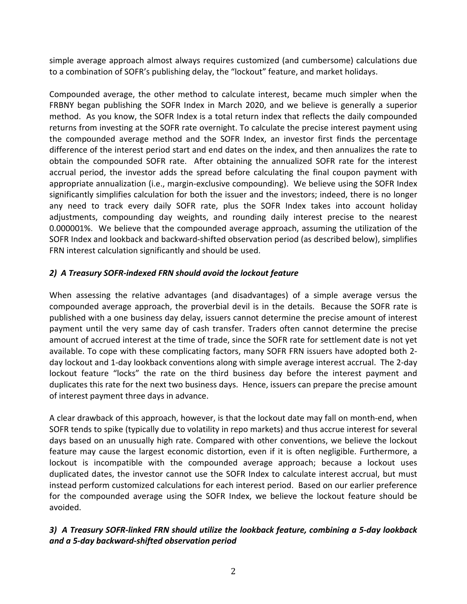simple average approach almost always requires customized (and cumbersome) calculations due to a combination of SOFR's publishing delay, the "lockout" feature, and market holidays.

Compounded average, the other method to calculate interest, became much simpler when the FRBNY began publishing the SOFR Index in March 2020, and we believe is generally a superior method. As you know, the SOFR Index is a total return index that reflects the daily compounded returns from investing at the SOFR rate overnight. To calculate the precise interest payment using the compounded average method and the SOFR Index, an investor first finds the percentage difference of the interest period start and end dates on the index, and then annualizes the rate to obtain the compounded SOFR rate. After obtaining the annualized SOFR rate for the interest accrual period, the investor adds the spread before calculating the final coupon payment with appropriate annualization (i.e., margin-exclusive compounding). We believe using the SOFR Index significantly simplifies calculation for both the issuer and the investors; indeed, there is no longer any need to track every daily SOFR rate, plus the SOFR Index takes into account holiday adjustments, compounding day weights, and rounding daily interest precise to the nearest 0.000001%. We believe that the compounded average approach, assuming the utilization of the SOFR Index and lookback and backward-shifted observation period (as described below), simplifies FRN interest calculation significantly and should be used.

## *2) A Treasury SOFR-indexed FRN should avoid the lockout feature*

When assessing the relative advantages (and disadvantages) of a simple average versus the compounded average approach, the proverbial devil is in the details. Because the SOFR rate is published with a one business day delay, issuers cannot determine the precise amount of interest payment until the very same day of cash transfer. Traders often cannot determine the precise amount of accrued interest at the time of trade, since the SOFR rate for settlement date is not yet available. To cope with these complicating factors, many SOFR FRN issuers have adopted both 2 day lockout and 1-day lookback conventions along with simple average interest accrual. The 2-day lockout feature "locks" the rate on the third business day before the interest payment and duplicates this rate for the next two business days. Hence, issuers can prepare the precise amount of interest payment three days in advance.

A clear drawback of this approach, however, is that the lockout date may fall on month-end, when SOFR tends to spike (typically due to volatility in repo markets) and thus accrue interest for several days based on an unusually high rate. Compared with other conventions, we believe the lockout feature may cause the largest economic distortion, even if it is often negligible. Furthermore, a lockout is incompatible with the compounded average approach; because a lockout uses duplicated dates, the investor cannot use the SOFR Index to calculate interest accrual, but must instead perform customized calculations for each interest period. Based on our earlier preference for the compounded average using the SOFR Index, we believe the lockout feature should be avoided.

## *3) A Treasury SOFR-linked FRN should utilize the lookback feature, combining a 5-day lookback and a 5-day backward-shifted observation period*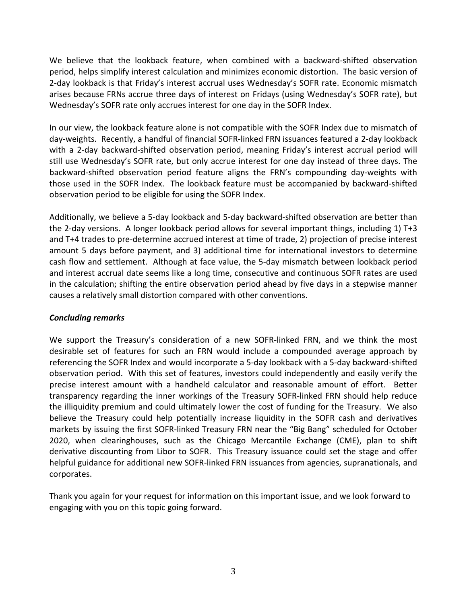We believe that the lookback feature, when combined with a backward-shifted observation period, helps simplify interest calculation and minimizes economic distortion. The basic version of 2-day lookback is that Friday's interest accrual uses Wednesday's SOFR rate. Economic mismatch arises because FRNs accrue three days of interest on Fridays (using Wednesday's SOFR rate), but Wednesday's SOFR rate only accrues interest for one day in the SOFR Index.

In our view, the lookback feature alone is not compatible with the SOFR Index due to mismatch of day-weights. Recently, a handful of financial SOFR-linked FRN issuances featured a 2-day lookback with a 2-day backward-shifted observation period, meaning Friday's interest accrual period will still use Wednesday's SOFR rate, but only accrue interest for one day instead of three days. The backward-shifted observation period feature aligns the FRN's compounding day-weights with those used in the SOFR Index. The lookback feature must be accompanied by backward-shifted observation period to be eligible for using the SOFR Index.

Additionally, we believe a 5-day lookback and 5-day backward-shifted observation are better than the 2-day versions. A longer lookback period allows for several important things, including 1) T+3 and T+4 trades to pre-determine accrued interest at time of trade, 2) projection of precise interest amount 5 days before payment, and 3) additional time for international investors to determine cash flow and settlement. Although at face value, the 5-day mismatch between lookback period and interest accrual date seems like a long time, consecutive and continuous SOFR rates are used in the calculation; shifting the entire observation period ahead by five days in a stepwise manner causes a relatively small distortion compared with other conventions.

#### *Concluding remarks*

We support the Treasury's consideration of a new SOFR-linked FRN, and we think the most desirable set of features for such an FRN would include a compounded average approach by referencing the SOFR Index and would incorporate a 5-day lookback with a 5-day backward-shifted observation period. With this set of features, investors could independently and easily verify the precise interest amount with a handheld calculator and reasonable amount of effort. Better transparency regarding the inner workings of the Treasury SOFR-linked FRN should help reduce the illiquidity premium and could ultimately lower the cost of funding for the Treasury. We also believe the Treasury could help potentially increase liquidity in the SOFR cash and derivatives markets by issuing the first SOFR-linked Treasury FRN near the "Big Bang" scheduled for October 2020, when clearinghouses, such as the Chicago Mercantile Exchange (CME), plan to shift derivative discounting from Libor to SOFR. This Treasury issuance could set the stage and offer helpful guidance for additional new SOFR-linked FRN issuances from agencies, supranationals, and corporates.

Thank you again for your request for information on this important issue, and we look forward to engaging with you on this topic going forward.